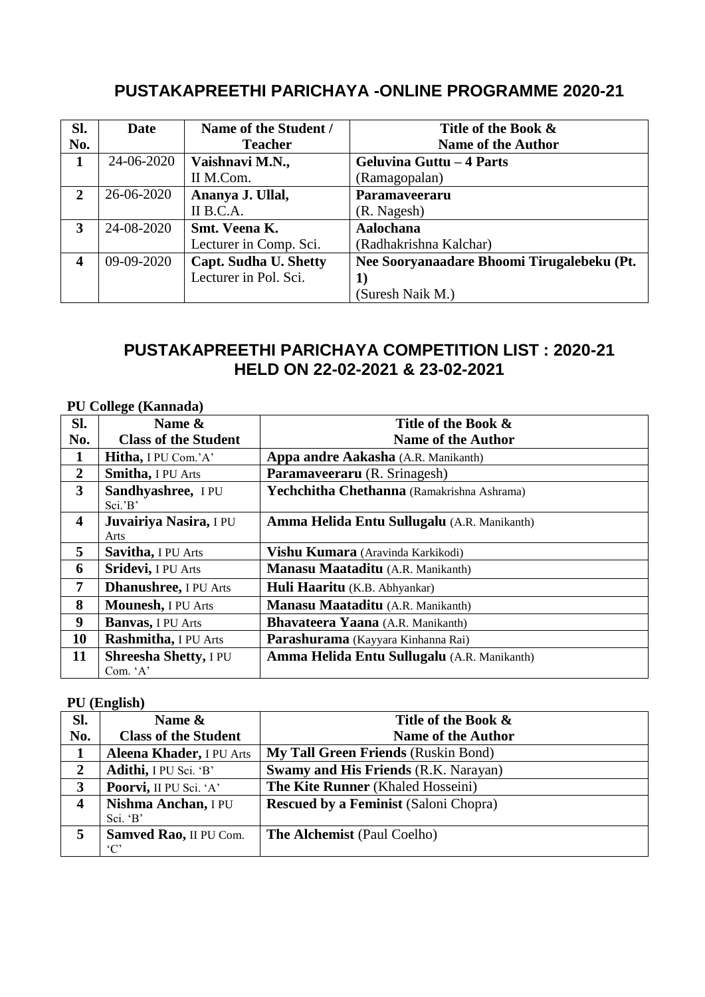# **PUSTAKAPREETHI PARICHAYA -ONLINE PROGRAMME 2020-21**

| Sl. | <b>Date</b> | Name of the Student /        | Title of the Book &                        |
|-----|-------------|------------------------------|--------------------------------------------|
| No. |             | <b>Teacher</b>               | <b>Name of the Author</b>                  |
| 1   | 24-06-2020  | Vaishnavi M.N.,              | Geluvina Guttu – 4 Parts                   |
|     |             | II M.Com.                    | (Ramagopalan)                              |
| 2   | 26-06-2020  | Ananya J. Ullal,             | Paramaveeraru                              |
|     |             | II B.C.A.                    | (R. Nagesh)                                |
| 3   | 24-08-2020  | Smt. Veena K.                | Aalochana                                  |
|     |             | Lecturer in Comp. Sci.       | (Radhakrishna Kalchar)                     |
| 4   | 09-09-2020  | <b>Capt. Sudha U. Shetty</b> | Nee Sooryanaadare Bhoomi Tirugalebeku (Pt. |
|     |             | Lecturer in Pol. Sci.        | 1)                                         |
|     |             |                              | (Suresh Naik M.)                           |

## **PUSTAKAPREETHI PARICHAYA COMPETITION LIST : 2020-21 HELD ON 22-02-2021 & 23-02-2021**

#### **PU College (Kannada)**

| Sl.                     | $\mathbf{r}$<br>Name &                   | Title of the Book &                         |
|-------------------------|------------------------------------------|---------------------------------------------|
| No.                     | <b>Class of the Student</b>              | <b>Name of the Author</b>                   |
| 1                       | Hitha, I PU Com.'A'                      | Appa andre Aakasha (A.R. Manikanth)         |
| $\overline{2}$          | Smitha, I PU Arts                        | Paramaveeraru (R. Srinagesh)                |
| 3                       | Sandhyashree, IPU<br>Sci.'B'             | Yechchitha Chethanna (Ramakrishna Ashrama)  |
| $\overline{\mathbf{4}}$ | Juvairiya Nasira, I PU<br>Arts           | Amma Helida Entu Sullugalu (A.R. Manikanth) |
| 5                       | Savitha, I PU Arts                       | Vishu Kumara (Aravinda Karkikodi)           |
| 6                       | Sridevi, I PU Arts                       | Manasu Maataditu (A.R. Manikanth)           |
| 7                       | <b>Dhanushree</b> , I PU Arts            | Huli Haaritu (K.B. Abhyankar)               |
| 8                       | Mounesh, I PU Arts                       | Manasu Maataditu (A.R. Manikanth)           |
| $\boldsymbol{9}$        | <b>Banvas</b> , I PU Arts                | <b>Bhavateera Yaana</b> (A.R. Manikanth)    |
| 10                      | Rashmitha, I PU Arts                     | Parashurama (Kayyara Kinhanna Rai)          |
| 11                      | <b>Shreesha Shetty, I PU</b><br>Com. 'A' | Amma Helida Entu Sullugalu (A.R. Manikanth) |

#### **PU (English)**

| SI.              | Name &                          | Title of the Book &                          |
|------------------|---------------------------------|----------------------------------------------|
| No.              | <b>Class of the Student</b>     | <b>Name of the Author</b>                    |
|                  | <b>Aleena Khader, I PU Arts</b> | <b>My Tall Green Friends (Ruskin Bond)</b>   |
| $\overline{2}$   | Adithi, I PU Sci. 'B'           | <b>Swamy and His Friends (R.K. Narayan)</b>  |
| 3                | Poorvi, II PU Sci. 'A'          | The Kite Runner (Khaled Hosseini)            |
| $\boldsymbol{4}$ | Nishma Anchan, I PU             | <b>Rescued by a Feminist (Saloni Chopra)</b> |
|                  | Sci. 'B'                        |                                              |
| 5                | Samved Rao, II PU Com.          | <b>The Alchemist (Paul Coelho)</b>           |
|                  | $^{\circ}C^{\circ}$             |                                              |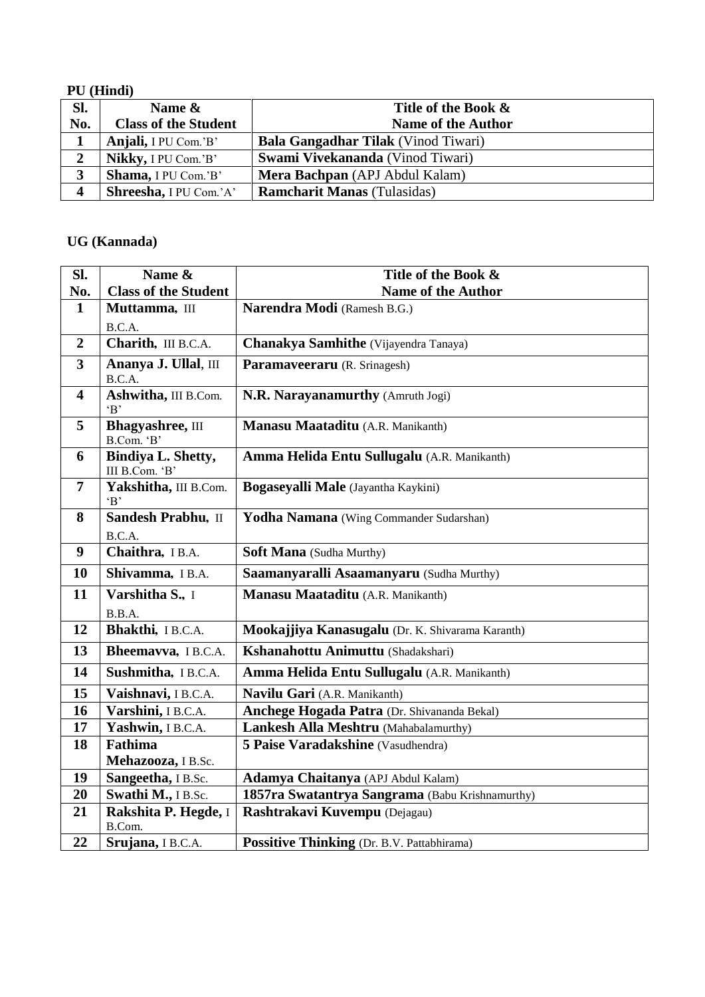#### **PU (Hindi)**

| Sl.                     | Name &                      | Title of the Book &                        |
|-------------------------|-----------------------------|--------------------------------------------|
| No.                     | <b>Class of the Student</b> | <b>Name of the Author</b>                  |
| 1                       | Anjali, I PU Com.'B'        | <b>Bala Gangadhar Tilak</b> (Vinod Tiwari) |
| $\overline{2}$          | Nikky, I PU Com.'B'         | Swami Vivekananda (Vinod Tiwari)           |
| 3                       | Shama, I PU Com.'B'         | Mera Bachpan (APJ Abdul Kalam)             |
| $\overline{\mathbf{4}}$ | Shreesha, I PU Com.'A'      | <b>Ramcharit Manas</b> (Tulasidas)         |

#### **UG (Kannada)**

| Sl.                     | Name &                                      | Title of the Book &                              |
|-------------------------|---------------------------------------------|--------------------------------------------------|
| No.                     | <b>Class of the Student</b>                 | Name of the Author                               |
| $\mathbf{1}$            | Muttamma, III                               | Narendra Modi (Ramesh B.G.)                      |
|                         | B.C.A.                                      |                                                  |
| $\overline{2}$          | Charith, III B.C.A.                         | Chanakya Samhithe (Vijayendra Tanaya)            |
| $\overline{3}$          | Ananya J. Ullal, III<br>B.C.A.              | Paramaveeraru (R. Srinagesh)                     |
| $\overline{\mathbf{4}}$ | Ashwitha, III B.Com.<br>B                   | N.R. Narayanamurthy (Amruth Jogi)                |
| 5                       | <b>Bhagyashree</b> , III<br>B.Com. 'B'      | Manasu Maataditu (A.R. Manikanth)                |
| 6                       | <b>Bindiya L. Shetty,</b><br>III B.Com. 'B' | Amma Helida Entu Sullugalu (A.R. Manikanth)      |
| 7                       | Yakshitha, III B.Com.<br>B                  | Bogaseyalli Male (Jayantha Kaykini)              |
| 8                       | Sandesh Prabhu, II                          | Yodha Namana (Wing Commander Sudarshan)          |
|                         | B.C.A.                                      |                                                  |
| $\boldsymbol{9}$        | Chaithra, IB.A.                             | Soft Mana (Sudha Murthy)                         |
| 10                      | Shivamma, IB.A.                             | Saamanyaralli Asaamanyaru (Sudha Murthy)         |
| 11                      | Varshitha S., I                             | Manasu Maataditu (A.R. Manikanth)                |
|                         | B.B.A.                                      |                                                  |
| 12                      | Bhakthi, IB.C.A.                            | Mookajjiya Kanasugalu (Dr. K. Shivarama Karanth) |
| 13                      | Bheemavva, IB.C.A.                          | Kshanahottu Animuttu (Shadakshari)               |
| 14                      | Sushmitha, IB.C.A.                          | Amma Helida Entu Sullugalu (A.R. Manikanth)      |
| 15                      | Vaishnavi, IB.C.A.                          | Navilu Gari (A.R. Manikanth)                     |
| 16                      | Varshini, IB.C.A.                           | Anchege Hogada Patra (Dr. Shivananda Bekal)      |
| 17                      | Yashwin, IB.C.A.                            | Lankesh Alla Meshtru (Mahabalamurthy)            |
| 18                      | <b>Fathima</b>                              | 5 Paise Varadakshine (Vasudhendra)               |
|                         | Mehazooza, IB.Sc.                           |                                                  |
| 19                      | Sangeetha, IB.Sc.                           | Adamya Chaitanya (APJ Abdul Kalam)               |
| 20                      | Swathi M., I B.Sc.                          | 1857ra Swatantrya Sangrama (Babu Krishnamurthy)  |
| 21                      | Rakshita P. Hegde, I<br>B.Com.              | Rashtrakavi Kuvempu (Dejagau)                    |
| 22                      | Srujana, IB.C.A.                            | Possitive Thinking (Dr. B.V. Pattabhirama)       |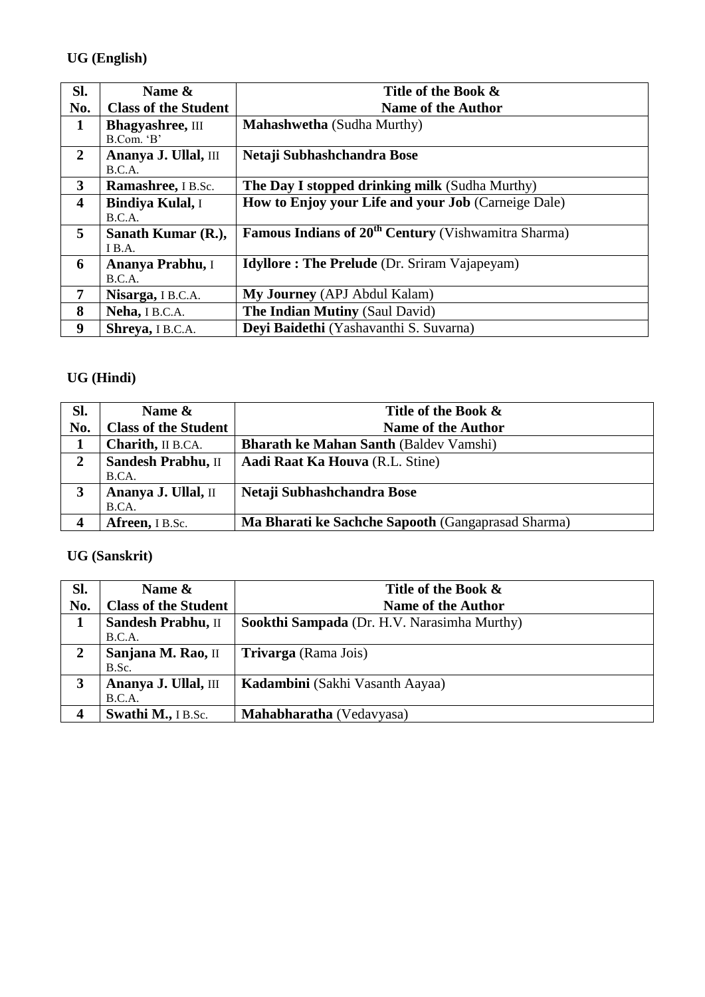### **UG (English)**

| SI.                     | Name &                                 | Title of the Book &                                                   |
|-------------------------|----------------------------------------|-----------------------------------------------------------------------|
| No.                     | <b>Class of the Student</b>            | <b>Name of the Author</b>                                             |
| $\mathbf{1}$            | <b>Bhagyashree</b> , III<br>B.Com. 'B' | <b>Mahashwetha</b> (Sudha Murthy)                                     |
| $\overline{2}$          | Ananya J. Ullal, III<br>B.C.A.         | Netaji Subhashchandra Bose                                            |
| 3                       | Ramashree, IB.Sc.                      | The Day I stopped drinking milk (Sudha Murthy)                        |
| $\overline{\mathbf{4}}$ | <b>Bindiya Kulal, I</b><br>B.C.A.      | <b>How to Enjoy your Life and your Job (Carneige Dale)</b>            |
| 5                       | Sanath Kumar (R.),<br>I B.A.           | <b>Famous Indians of 20<sup>th</sup> Century</b> (Vishwamitra Sharma) |
| 6                       | Ananya Prabhu, I<br>B.C.A.             | <b>Idyllore: The Prelude</b> (Dr. Sriram Vajapeyam)                   |
| 7                       | Nisarga, IB.C.A.                       | <b>My Journey</b> (APJ Abdul Kalam)                                   |
| 8                       | Neha, IB.C.A.                          | <b>The Indian Mutiny (Saul David)</b>                                 |
| 9                       | Shreya, I B.C.A.                       | Deyi Baidethi (Yashavanthi S. Suvarna)                                |

# **UG (Hindi)**

| Sl. | Name $\&$                   | Title of the Book &                                |
|-----|-----------------------------|----------------------------------------------------|
| No. | <b>Class of the Student</b> | <b>Name of the Author</b>                          |
|     | <b>Charith</b> , II B.CA.   | <b>Bharath ke Mahan Santh (Baldev Vamshi)</b>      |
|     | Sandesh Prabhu, II          | Aadi Raat Ka Houva (R.L. Stine)                    |
|     | B.CA.                       |                                                    |
|     | Ananya J. Ullal, II         | Netaji Subhashchandra Bose                         |
|     | B.CA.                       |                                                    |
|     | Afreen, I B.Sc.             | Ma Bharati ke Sachche Sapooth (Gangaprasad Sharma) |

## **UG (Sanskrit)**

| SI. | Name $\&$                   | Title of the Book &                         |
|-----|-----------------------------|---------------------------------------------|
| No. | <b>Class of the Student</b> | <b>Name of the Author</b>                   |
|     | Sandesh Prabhu, II          | Sookthi Sampada (Dr. H.V. Narasimha Murthy) |
|     | B.C.A.                      |                                             |
| 2   | Sanjana M. Rao, II          | <b>Trivarga</b> (Rama Jois)                 |
|     | B.Sc.                       |                                             |
| 3   | Ananya J. Ullal, III        | Kadambini (Sakhi Vasanth Aayaa)             |
|     | B.C.A.                      |                                             |
|     | Swathi M., I B.Sc.          | Mahabharatha (Vedavyasa)                    |